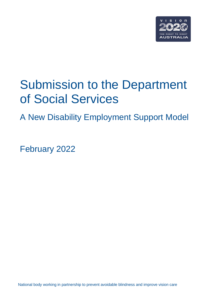

# Submission to the Department of Social Services

A New Disability Employment Support Model

February 2022

National body working in partnership to prevent avoidable blindness and improve vision care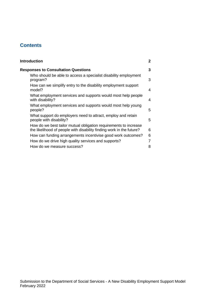# **Contents**

| <b>Introduction</b>                                                                                                                      | 2 |
|------------------------------------------------------------------------------------------------------------------------------------------|---|
| <b>Responses to Consultation Questions</b>                                                                                               | 3 |
| Who should be able to access a specialist disability employment<br>program?                                                              | 3 |
| How can we simplify entry to the disability employment support<br>model?                                                                 | 4 |
| What employment services and supports would most help people<br>with disability?                                                         | 4 |
| What employment services and supports would most help young<br>people?                                                                   | 5 |
| What support do employers need to attract, employ and retain<br>people with disability?                                                  | 5 |
| How do we best tailor mutual obligation requirements to increase<br>the likelihood of people with disability finding work in the future? | 6 |
| How can funding arrangements incentivise good work outcomes?                                                                             | 6 |
| How do we drive high quality services and supports?                                                                                      | 7 |
| How do we measure success?                                                                                                               | 8 |
|                                                                                                                                          |   |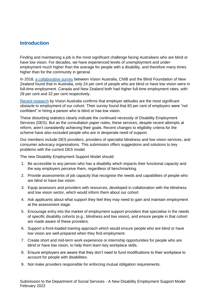## <span id="page-2-0"></span>**Introduction**

Finding and maintaining a job is the most significant challenge facing Australians who are blind or have low vision. For decades, we have experienced levels of unemployment and underemployment much higher than the average for people with a disability, and therefore many times higher than for the community in general.

In 2018, [a collaborative survey](https://www.visionaustralia.org/community/news/2019-08-23/survey-shows-blind-people-significantly-underemployed-around-world) between Vision Australia, CNIB and the Blind Foundation of New Zealand found that in Australia, only 24 per cent of people who are blind or have low vision were in full-time employment. Canada and New Zealand both had higher full-time employment rates, with 28 per cent and 32 per cent respectively.

[Recent research](https://www.visionaustralia.org/community/news/2021-09-07/i-was-not-value-society-new-survey-finds-employment-discrimination-blind) by Vision Australia confirms that employer attitudes are the most significant obstacle to employment of our cohort. Their survey found that 83 per cent of employers were "not confident" in hiring a person who is blind or has low vision.

These disturbing statistics clearly indicate the continued necessity of Disability Employment Services (DES). But as the consultation paper notes, these services, despite recent attempts at reform, aren't consistently achieving their goals. Recent changes to eligibility criteria for the scheme have also excluded people who are in desperate need of support.

Our members include DES providers, providers of specialist blindness and low vision services, and consumer advocacy organisations. This submission offers suggestions and solutions to key problems with the current DES model.

The new Disability Employment Support Model should:

- 1. Be accessible to any person who has a disability which impacts their functional capacity and the way employers perceive them, regardless of benchmarking.
- 2. Provide assessments of job capacity that recognise the needs and capabilities of people who are blind or have low vision.
- 3. Equip assessors and providers with resources, developed in collaboration with the blindness and low vision sector, which would inform them about our cohort.
- 4. Ask applicants about what support they feel they may need to gain and maintain employment at the assessment stage.
- 5. Encourage entry into the market of employment support providers that specialise in the needs of specific disability cohorts (e.g., blindness and low vision), and ensure people in that cohort are made aware of these providers.
- 6. Support a front-loaded training approach which would ensure people who are blind or have low vision are well-prepared when they find employment.
- 7. Create short and mid-term work experience or internship opportunities for people who are blind or have low vision, to help them learn key workplace skills.
- 8. Ensure employers are aware that they don't need to fund modifications to their workplace to account for people with disabilities.
- 9. Not make providers responsible for enforcing mutual obligation requirements.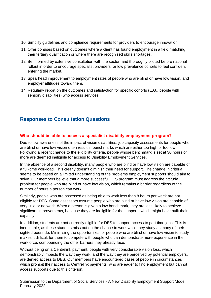- 10. Simplify guidelines and compliance requirements for providers to encourage innovation.
- 11. Offer bonuses based on outcomes where a client has found employment in a field matching their tertiary qualification or where there are recognised skills shortages.
- 12. Be informed by extensive consultation with the sector, and thoroughly piloted before national rollout in order to encourage specialist providers for low prevalence cohorts to feel confident entering the market.
- 13. Spearhead improvement to employment rates of people who are blind or have low vision, and employer attitudes toward them.
- 14. Regularly report on the outcomes and satisfaction for specific cohorts (E.G., people with sensory disabilities) who access services.

# <span id="page-3-0"></span>**Responses to Consultation Questions**

## <span id="page-3-1"></span>**Who should be able to access a specialist disability employment program?**

Due to low awareness of the impact of vision disabilities, job capacity assessments for people who are blind or have low vision often result in benchmarks which are either too high or too low. Following a recent change to the eligibility criteria, people whose benchmark is set at 30 hours or more are deemed ineligible for access to Disability Employment Services.

In the absence of a second disability, many people who are blind or have low vision are capable of a full-time workload. This clearly doesn't diminish their need for support. The change in criteria seems to be based on a limited understanding of the problems employment supports should aim to solve. Our members believe that a more successful DES program must address the attitude problem for people who are blind or have low vision, which remains a barrier regardless of the number of hours a person can work.

Similarly, people who are assessed as being able to work less than 8 hours per week are not eligible for DES. Some assessors assume people who are blind or have low vision are capable of very little or no work. When a person is given a low benchmark, they are less likely to achieve significant improvements, because they are ineligible for the supports which might have built their capacity.

In addition, students are not currently eligible for DES to support access to part time jobs. This is inequitable, as these students miss out on the chance to work while they study as many of their sighted peers do. Minimising the opportunities for people who are blind or have low vision to study makes it difficult for them to compete with people who can demonstrate more experience in the workforce, compounding the other barriers they already face.

Without being on a Centrelink payment, people with very considerable vision loss, which demonstrably impacts the way they work, and the way they are perceived by potential employers, are denied access to DES. Our members have encountered cases of people in circumstances which prohibit their access to Centrelink payments, who are eager to find employment but cannot access supports due to this criterion.

Submission to the Department of Social Services - A New Disability Employment Support Model February 2022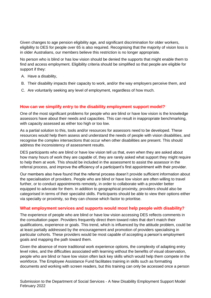Given changes to age pension eligibility age, and significant discrimination for older workers, eligibility to DES for people over 65 is also required. Recognising that the majority of vision loss is in older Australians, our members believe this restriction is no longer appropriate.

No person who is blind or has low vision should be denied the supports that might enable them to find and access employment. Eligibility criteria should be simplified so that people are eligible for support if they:

- A. Have a disability,
- B. Their disability impacts their capacity to work, and/or the way employers perceive them, and
- C. Are voluntarily seeking any level of employment, regardless of how much.

### <span id="page-4-0"></span>**How can we simplify entry to the disability employment support model?**

One of the most significant problems for people who are blind or have low vision is the knowledge assessors have about their needs and capacities. This can result in inappropriate benchmarking, with capacity assessed as either too high or too low.

As a partial solution to this, tools and/or resources for assessors need to be developed. These resources would help them assess and understand the needs of people with vision disabilities, and recognise the complex intersections that occur when other disabilities are present. This should address the inconsistency of assessment results.

DES participants who are blind or have low vision tell us that, even when they are asked about how many hours of work they are capable of, they are rarely asked what support they might require to help them at work. This should be included in the assessment to assist the assessor in the referral process, and improve the efficiency of a participant's first appointment with their provider.

Our members also have found that the referral process doesn't provide sufficient information about the specialisation of providers. People who are blind or have low vision are often willing to travel further, or to conduct appointments remotely, in order to collaborate with a provider better equipped to advocate for them. In addition to geographical proximity, providers should also be categorised in terms of their specialist skills. Participants should be able to view their options either via specialty or proximity, so they can choose which factor to prioritise.

#### <span id="page-4-1"></span>**What employment services and supports would most help people with disability?**

The experience of people who are blind or have low vision accessing DES reflects comments in the consultation paper. Providers frequently direct them toward roles that don't match their qualifications, experience or goals. This trend, which is influenced by the attitude problem, could be at least partially addressed by the encouragement and promotion of providers specialising in particular cohorts. These providers would be most capable of accepting a person's employment goals and mapping the path toward them.

Given the absence of more traditional work experience options, the complexity of adapting entry level roles, and the difficulties associated with learning without the benefits of visual observation, people who are blind or have low vision often lack key skills which would help them compete in the workforce. The Employee Assistance Fund facilitates training in skills such as formatting documents and working with screen readers, but this training can only be accessed once a person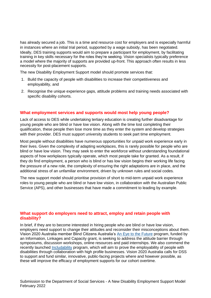has already secured a job. This is a time and resource cost for employers and is especially harmful in instances where an initial trial period, supported by a wage subsidy, has been negotiated. Ideally, DES training supports would aim to prepare a participant for employment, by facilitating training in key skills necessary for the roles they're seeking. Vision specialists typically preference a model where the majority of supports are provided up-front. This approach often results in less necessity for post-placement supports.

The new Disability Employment Support model should promote services that:

- 1. Build the capacity of people with disabilities to increase their competitiveness and employability, and
- 2. Recognise the unique experience gaps, attitude problems and training needs associated with specific disability cohorts.

### <span id="page-5-0"></span>**What employment services and supports would most help young people?**

Lack of access to DES while undertaking tertiary education is creating further disadvantage for young people who are blind or have low vision. Along with the time lost completing their qualification, these people then lose more time as they enter the system and develop strategies with their provider. DES must support university students to seek part time employment.

Most people without disabilities have numerous opportunities for unpaid work experience early in their lives. Given the complexity of adapting workplaces, this is rarely possible for people who are blind or have low vision. They may seek to enter the workforce without understanding foundational aspects of how workplaces typically operate, which most people take for granted. As a result, if they do find employment, a person who is blind or has low vision begins their working life facing the pressure of a new role, the complexity of ensuring the right adaptations are in place, and the additional stress of an unfamiliar environment, driven by unknown rules and social codes.

The new support model should prioritise provision of short to mid-term unpaid work experience roles to young people who are blind or have low vision, in collaboration with the Australian Public Service (APS), and other businesses that have made a commitment to leading by example.

#### <span id="page-5-1"></span>**What support do employers need to attract, employ and retain people with disability?**

In brief, if they are to become interested in hiring people who are blind or have low vision, employers need support to change their attitudes and reconsider their misconceptions about them. Vision 2020 Australia member Blind Citizens Australia's [An Eye to the Future](https://eyetothefuture.com.au/) program, funded by an Information, Linkages and Capacity grant, is seeking to address the attitude barrier through symposiums, discussion workshops, online resources and paid internships. We also commend the recently launched [Includability](https://includeability.gov.au/) program, which will aim to prove the employability of people with disabilities through collaboration with high profile businesses. Vision 2020 Australia calls for DSS to support and fund similar, innovative, public-facing projects where and however possible, as these will improve the efficacy of employment supports for our cohort overtime.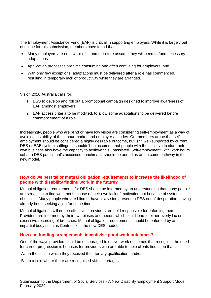The Employment Assistance Fund (EAF) is critical in supporting employers. While it is largely out of scope for this submission, members have found that:

- Many employers are not aware of it, and therefore assume they will need to fund necessary adaptations.
- Application processes are time consuming and often confusing for employers, and.
- With only few exceptions, adaptations must be delivered after a role has commenced, resulting in temporary lack of productivity while they are arranged.

Vision 2020 Australia calls for:

- 1. DSS to develop and roll out a promotional campaign designed to improve awareness of EAF amongst employers.
- 2. EAF access criteria to be modified, to allow some adaptations to be delivered before commencement of a role.

Increasingly, people who are blind or have low vision are considering self-employment as a way of avoiding instability of the labour market and employer attitudes. Our members argue that selfemployment should be considered a highly desirable outcome, but isn't well-supported by current DES or EAF system settings. It shouldn't be assumed that people with the initiative to start their own business also have the capacity to achieve this unassisted. Self-employment, with work hours set at a DES participant's assessed benchmark, should be added as an outcome pathway in the new model.

### <span id="page-6-0"></span>**How do we best tailor mutual obligation requirements to increase the likelihood of people with disability finding work in the future?**

Mutual obligation requirements for DES should be informed by an understanding that many people are struggling to find work not because of their own lack of motivation but because of systemic obstacles. Many people who are blind or have low vision present to DES out of desperation, having already been seeking a job for some time.

Mutual obligations will not be effective if providers are held responsible for enforcing them. Providers are informed by their own biases and needs, which could lead to either overly lax or excessive recording of breaches. Mutual obligation requirements should be enforced by an impartial body such as Centrelink in the new DES model.

#### <span id="page-6-1"></span>**How can funding arrangements incentivise good work outcomes?**

One of the ways providers could be encouraged to deliver work outcomes that recognise the need for career progression is bonuses for providers who are able to help clients find a job that is:

- A. In the field in which they received their tertiary qualification, and/or
- B. In a field where there are recognised skills shortages.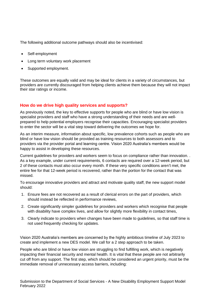The following additional outcome pathways should also be incentivised:

- Self-employment
- Long term voluntary work placement
- Supported employment.

These outcomes are equally valid and may be ideal for clients in a variety of circumstances, but providers are currently discouraged from helping clients achieve them because they will not impact their star ratings or income.

## <span id="page-7-0"></span>**How do we drive high quality services and supports?**

As previously noted, the key to effective supports for people who are blind or have low vision is specialist providers and staff who have a strong understanding of their needs and are wellprepared to help potential employers recognise their capacities. Encouraging specialist providers to enter the sector will be a vital step toward delivering the outcomes we hope for.

As an interim measure, information about specific, low prevalence cohorts such as people who are blind or have low vision should be provided as training resources to both assessors and to providers via the provider portal and learning centre. Vision 2020 Australia's members would be happy to assist in developing these resources.

Current guidelines for providers and workers seem to focus on compliance rather than innovation. . As a key example, under current requirements, 6 contacts are required over a 12-week period, but 2 of these contacts must also occur every month. If these very specific conditions aren't met, the entire fee for that 12-week period is recovered, rather than the portion for the contact that was missed.

To encourage innovative providers and attract and motivate quality staff, the new support model should:

- 1. Ensure fees are not recovered as a result of clerical errors on the part of providers, which should instead be reflected in performance reviews,
- 2. Create significantly simpler guidelines for providers and workers which recognise that people with disability have complex lives, and allow for slightly more flexibility in contact times,
- 3. Clearly indicate to providers when changes have been made to guidelines, so that staff time is not used frequently checking for updates.

Vision 2020 Australia's members are concerned by the highly ambitious timeline of July 2023 to create and implement a new DES model. We call for a 2 step approach to be taken.

People who are blind or have low vision are struggling to find fulfilling work, which is negatively impacting their financial security and mental health. It is vital that these people are not arbitrarily cut off from any support. The first step, which should be considered an urgent priority, must be the immediate removal of unnecessary access barriers, including: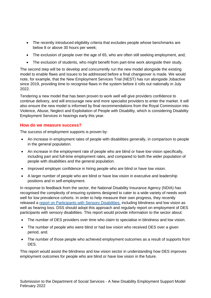- The recently introduced eligibility criteria that excludes people whose benchmarks are below 8 or above 30 hours per week;
- The exclusion of people over the age of 65, who are often still seeking employment, and;
- The exclusion of students, who might benefit from part-time work alongside their study.

The second step will be to develop and concurrently run the new model alongside the existing model to enable flaws and issues to be addressed before a final changeover is made. We would note, for example, that the New Employment Services Trial (NEST) has run alongside Jobactive since 2019, providing time to recognise flaws in the system before it rolls out nationally in July 2022.

Tendering a new model that has been proven to work well will give providers confidence to continue delivery, and will encourage new and more specialist providers to enter the market. It will also ensure the new model is informed by final recommendations from the Royal Commission into Violence, Abuse, Neglect and Exploitation of People with Disability, which is considering Disability Employment Services in hearings early this year.

### <span id="page-8-0"></span>**How do we measure success?**

The success of employment supports is proven by:

- An increase in employment rates of people with disabilities generally, in comparison to people in the general population.
- An increase in the employment rate of people who are blind or have low vision specifically, including part and full-time employment rates, and compared to both the wider population of people with disabilities and the general population.
- Improved employer confidence in hiring people who are blind or have low vision.
- A larger number of people who are blind or have low vision in executive and leadership positions and in self-employment.

In response to feedback from the sector, the National Disability Insurance Agency (NDIA) has recognised the complexity of ensuring systems designed to cater to a wide variety of needs work well for low prevalence cohorts. In order to help measure their own progress, they recently released a [report on Participants with Sensory Disabilities,](https://data.ndis.gov.au/reports-and-analyses/participant-groups/participants-sensory-disabilities-ndis) including blindness and low vision as well as hearing loss. DSS should adopt this approach and regularly report on employment of DES participants with sensory disabilities. This report would provide information to the sector about:

- The number of DES providers over time who claim to specialise in blindness and low vision.
- The number of people who were blind or had low vision who received DES over a given period, and.
- The number of those people who achieved employment outcomes as a result of supports from DES.

This report would assist the blindness and low vision sector in understanding how DES improves employment outcomes for people who are blind or have low vision in the future.